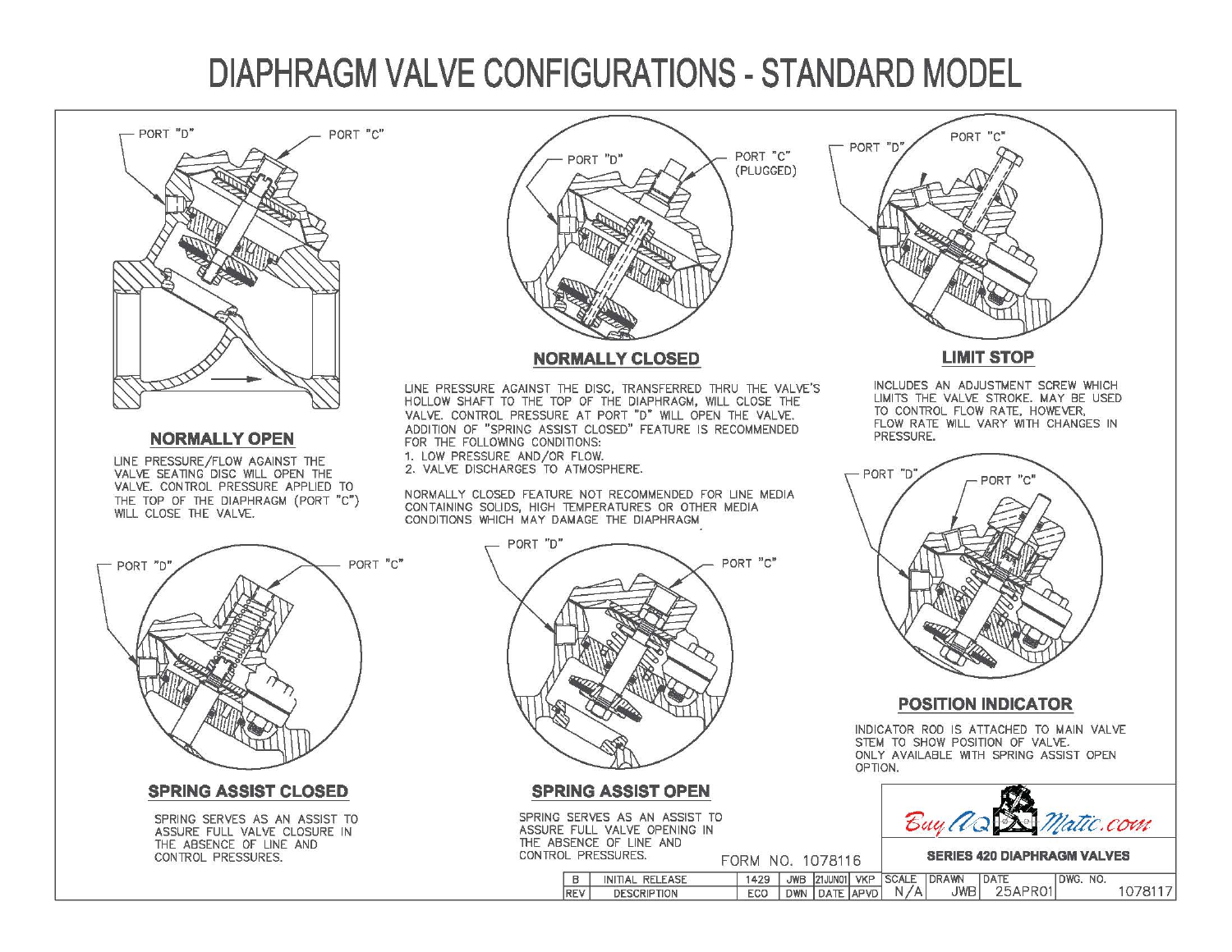# **DIAPHRAGM VALVE CONFIGURATIONS- STANDARD MODEL**



#### **NORMALLY OPEN**

LINE PRESSURE/FLOW AGAINST THE VALVE SEATING DISC WILL OPEN THE VALVE. CONTROL PRESSURE APPLIED TO THE TOP OF THE DIAPHRAGM (PORT "c") WILL CLOSE THE VALVE.



### **NORMALLY CLOSED**

LINE PRESSURE AGAINST THE DISC, TRANSFERRED THRU THE VALVE'S HOLLOW SHAFT TO THE TOP OF THE DIAPHRAGM, WILL CLOSE THE VALVE. CONTROL PRESSURE AT PORT "D" WILL OPEN THE VALVE. ADDITION OF "SPRING ASSIST CLOSED" FEATURE IS RECOMMENDED FOR THE FOLLOWING CONDITIONS: 1. LOW PRESSURE AND/OR FLOW.

2. VALVE DISCHARGES TO ATMOSPHERE.

NORMALLY CLOSED FEATURE NOT RECOMMENDED FOR LINE MEDIA CONTAINING SOLIDS, HIGH TEMPERATURES OR OTHER MEDIA CONDITIONS WHICH MAY DAMAGE THE DIAPHRAGM



**LIMIT STOP** 

INCLUDES AN ADJUSTMENT SCREW WHICH LIMITS THE VALVE STROKE. MAY BE USED TO CONTROL FLOW RATE, HOWEVER, FLOW RATE WILL VARY WITH CHANGES IN PRESSURE.



### **POSITION INDICATOR**

INDICATOR ROD IS ATTACHED TO MAIN VALVE STEM TO SHOW POSITION OF VALVE. ONLY AVAILABLE WITH SPRING ASSIST OPEN OPTION.





**SPRING ASSIST CLOSED** 

SPRING SERVES AS AN ASSIST TO ASSURE FULL VALVE CLOSURE IN THE ABSENCE OF LINE AND CONTROL PRESSURES.



**SPRING ASSIST OPEN** 

|                    | SPRING SERVES AS AN ASSIST TO |      |
|--------------------|-------------------------------|------|
|                    | ASSURE FULL VALVE OPENING IN  |      |
|                    | THE ABSENCE OF LINE AND       |      |
| CONTROL PRESSURES. |                               | FORM |
|                    | D I INITIAL DELEACE           | 1420 |

NO. 1078116 **SERIES 420 DIAPHRAGM VALVES** 

|            | INITIAL RELEASE    | 429 | <b>JWB</b> |               | 21JUN01 VKP SCALE DRAWN |     | <b>DATE</b> | NO.<br>DWG. |  |
|------------|--------------------|-----|------------|---------------|-------------------------|-----|-------------|-------------|--|
| <b>REV</b> | <b>DESCRIPTION</b> | ECO |            | DWN DATE APVD | N/A                     | JWB | 25APR01     |             |  |